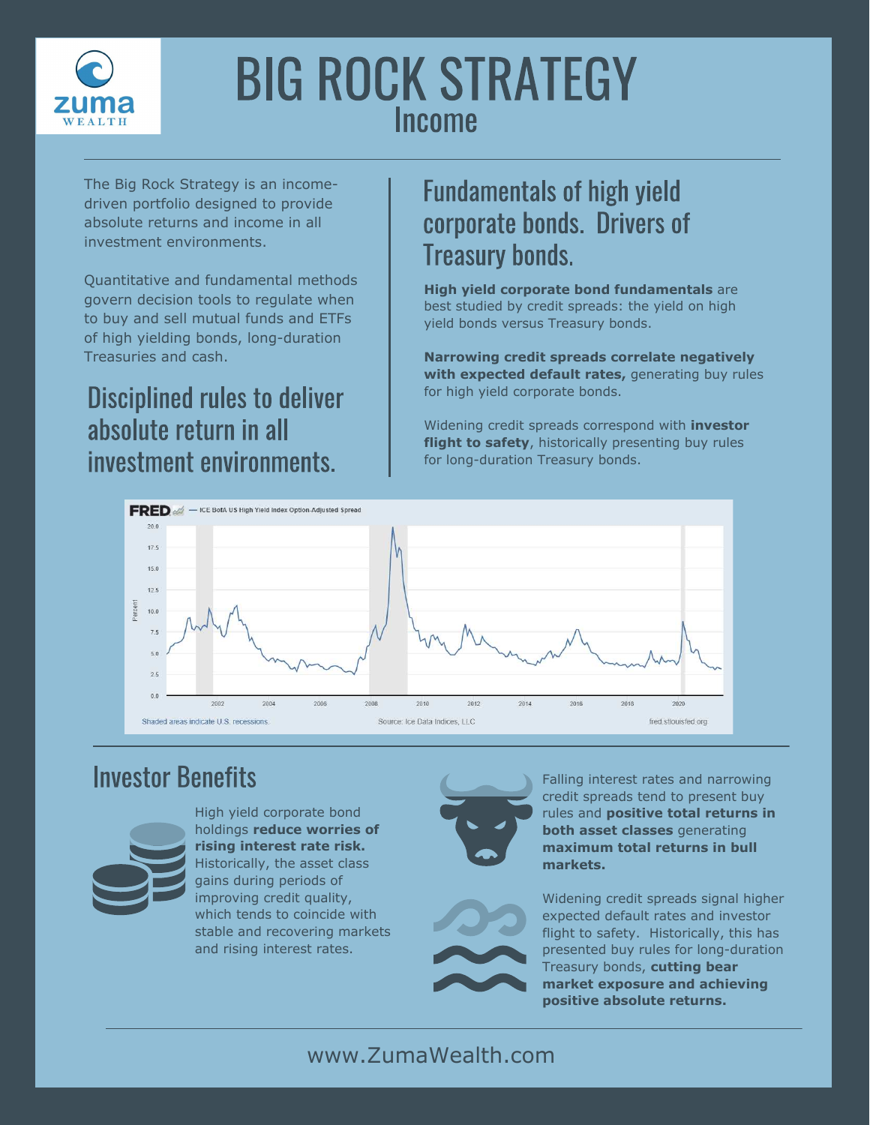

# BIG ROCK STRATEGY Income

The Big Rock Strategy is an incomedriven portfolio designed to provide absolute returns and income in all investment environments.

Quantitative and fundamental methods govern decision tools to regulate when to buy and sell mutual funds and ETFs of high yielding bonds, long-duration Treasuries and cash.

### Disciplined rules to deliver absolute return in all investment environments.

### Fundamentals of high yield corporate bonds. Drivers of Treasury bonds.

**High yield corporate bond fundamentals** are best studied by credit spreads: the yield on high yield bonds versus Treasury bonds.

**Narrowing credit spreads correlate negatively with expected default rates,** generating buy rules for high yield corporate bonds.

Widening credit spreads correspond with **investor flight to safety**, historically presenting buy rules for long-duration Treasury bonds.



### Investor Benefits



High yield corporate bond holdings **reduce worries of rising interest rate risk.**  Historically, the asset class gains during periods of improving credit quality, which tends to coincide with stable and recovering markets and rising interest rates.





Falling interest rates and narrowing credit spreads tend to present buy rules and **positive total returns in both asset classes** generating **maximum total returns in bull markets.**

Widening credit spreads signal higher expected default rates and investor flight to safety. Historically, this has presented buy rules for long-duration Treasury bonds, **cutting bear market exposure and achieving positive absolute returns.**

#### www.ZumaWealth.com